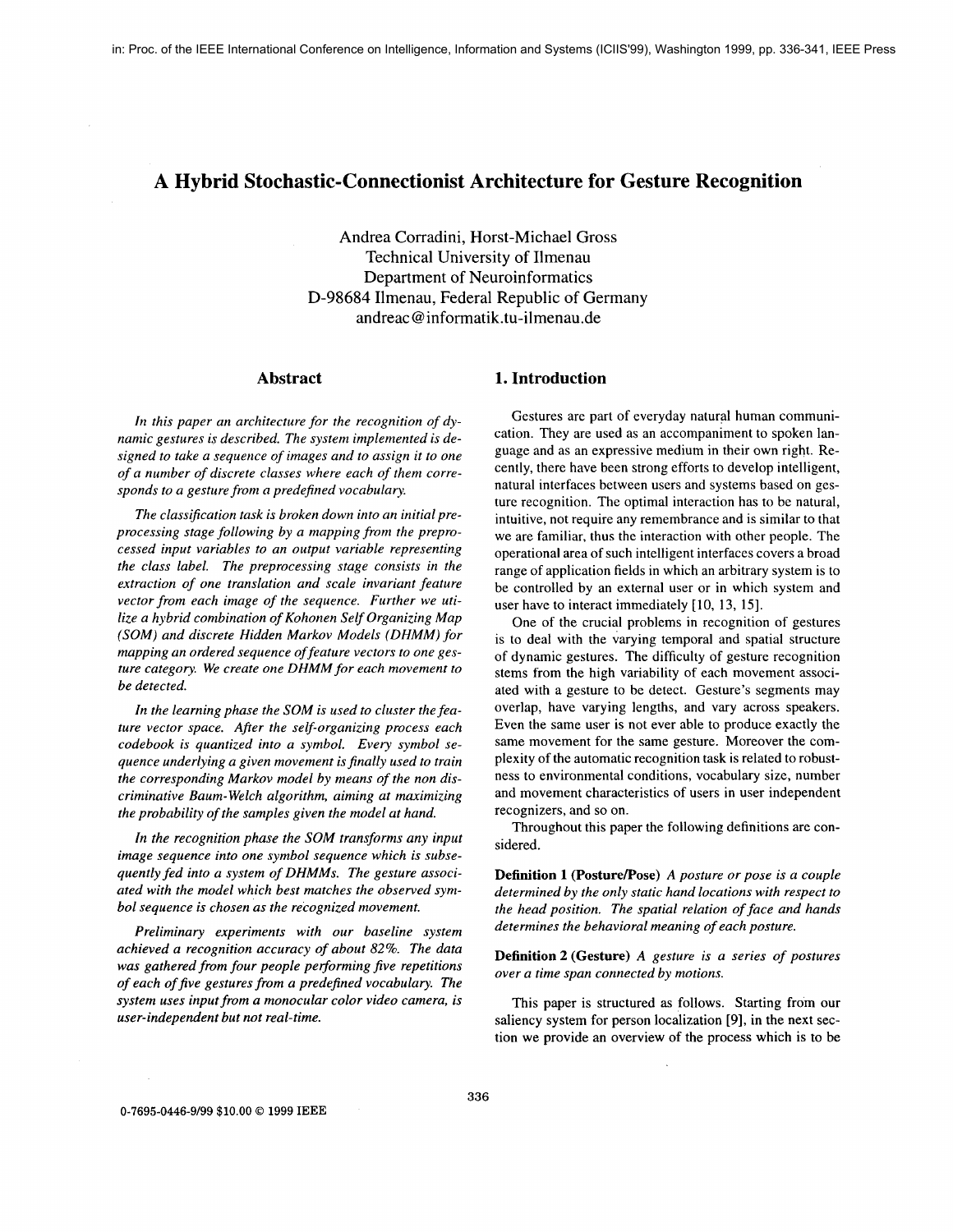# **A Hybrid Stochastic-Connectionist Architecture for Gesture Recognition**

Andrea Corradini, Horst-Michael Gross Technical University of Ilmenau Department of Neuroinformatics D-98684 Ilmenau, Federal Republic of Germany andreac @ **[informatik.tu-ilmenau.de](http://informatik.tu-ilmenau.de)** 

### **Abstract**

In this paper an architecture for the recognition of dy*namic gestures is described. The system implemented is designed to take a sequence of images and to assign it to one of a number of discrete classes where each of them corresponds to a gesture from a predefined vocabulary.* 

*The classijication task is broken down into an initial preprocessing stage following by a mapping from the preprocessed input variables to an output variable representing the class label. The preprocessing stage consists in the extraction of one translation and scale invariant feature vector from each image of the sequence. Further we utilize a hybrid combination of Kohonen Self Organizing Map (SOM) and discrete Hidden Markov Models (DHMM) for mapping an ordered sequence of feature vectors to one gesture category. We create one DHMM for each movement to be detected.* 

*In the learning phase the SOM is used to cluster the feature vector space. After the self- organizing process each codebook is quantized into a symbol. Every symbol sequence underlying a given movement is finally used to train the corresponding Markov model by means of the non discriminative Baum- Welch algorithm, aiming at maximizing the probability of the samples given the model at hand.* 

*In the recognition phase the SOM transforms any input image sequence into one symbol sequence which is subsequently fed into a system of DHMMs. The gesture associated with the model which best matches the observed symbol sequence is chosen as the recognized movement.* 

*Preliminary experiments with our baseline system achieved a recognition accuracy of about 82%. The data*  was gathered from four people performing five repetitions *of each of five gestures from a predefined vocabulary. The system uses input from a monocular color video camera, is user-independent but not real-time.* 

## **1. Introduction**

Gestures are part of everyday natural human communication. They are used as an accompaniment to spoken language and as an expressive medium in their own right. Recently, there have been strong efforts to develop intelligent, natural interfaces between users and systems based on gesture recognition. The optimal interaction has to be natural, intuitive, not require any remembrance and is similar to that we are familiar, thus the interaction with other people. The operational area of such intelligent interfaces covers a broad range of application fields in which an arbitrary system is to be controlled by an external user or in which system and user have to interact immediately [10, 13, 15].

One of the crucial problems in recognition of gestures is to deal with the varying temporal and spatial structure of dynamic gestures. The difficulty of gesture recognition stems from the high variability of each movement associated with a gesture to be detect. Gesture's segments may overlap, have varying lengths, and vary across speakers. Even the same user is not ever able to produce exactly the same movement for the same gesture. Moreover the complexity of the automatic recognition task is related to robustness to environmental conditions, vocabulary size, number and movement characteristics of users in user independent recognizers, and so on.

Throughout this paper the following definitions are considered.

**Definition 1 (Posture/Pose)** *A posture or pose is a couple determined by the only static hand locations with respect to the head position. The spatial relation of face and hands determines the behavioral meaning of each posture.* 

**Definition 2 (Gesture) A** *gesture is a series of postures over a time span connected by motions.* 

This paper is structured as follows. Starting from our saliency system for person localization [9], **in** the next section we provide an overview of the process which is to be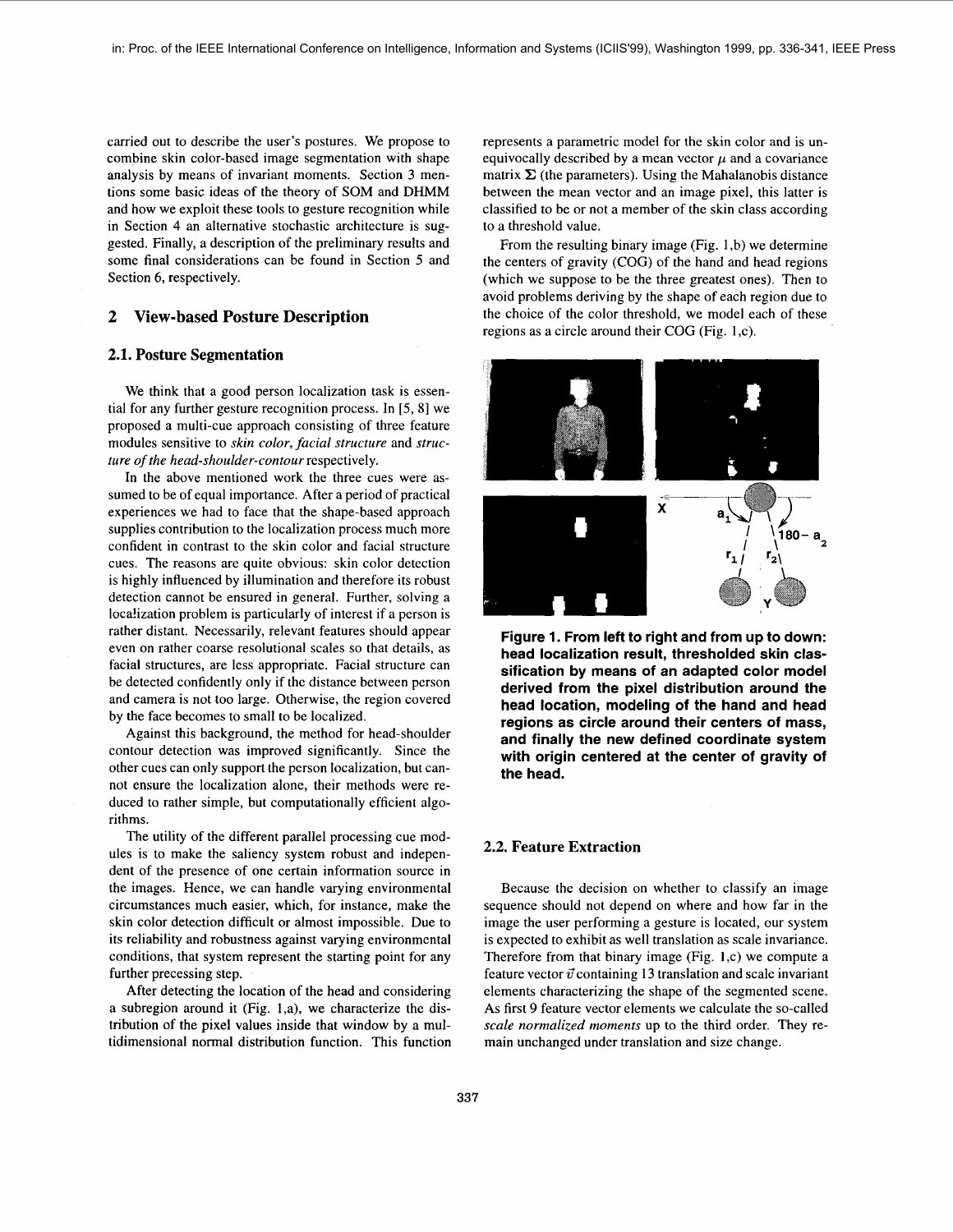carried out to describe the user's postures. We propose to combine skin color-based image segmentation with shape analysis by means of invariant moments. Section 3 mentions some basic ideas of the theory of SOM and DHMM and how we exploit these tools to gesture recognition while in Section 4 an alternative stochastic architecture is suggested. Finally, a description of the preliminary results and some final considerations can be found in Section 5 and Section 6, respectively.

## **2 View-based Posture Description**

#### **2.1. Posture Segmentation**

We think that a good person localization task is essential for any further gesture recognition process. In [5, 81 we proposed a multi-cue approach consisting of three feature modules sensitive to *skin color, facial structure* and *structure of the head-shoulder-contour* respectively.

In the above mentioned work the three cues were assumed to be of equal importance. After a period of practical experiences we had to face that the shape-based approach supplies contribution to the localization process much more confident in contrast to the skin color and facial structure cues. The reasons are quite obvious: skin color detection is highly influenced by illumination and therefore its robust detection cannot be ensured in general. Further, solving a localization problem is particularly of interest if a person is rather distant. Necessarily, relevant features should appear even on rather coarse resolutional scales so that details, as facial structures, are less appropriate. Facial structure can be detected confidently only if the distance between person and camera is not too large. Otherwise, the region covered by the face becomes to small to be localized.

Against this background, the method for head-shoulder contour detection was improved significantly. Since the other cues can only support the person localization, but cannot ensure the localization alone, their methods were reduced to rather simple, but computationally efficient algorithms.

The utility of the different parallel processing cue modules is to make the saliency system robust and independent of the presence of one certain information source in the images. Hence, we can handle varying environmental circumstances much easier, which, for instance, make the skin color detection difficult or almost impossible. Due to its reliability and robustness against varying environmental conditions, that system represent the starting point for any further precessing step.

After detecting the location of the head and considering a subregion around it (Fig. l,a), we characterize the distribution of the pixel values inside that window by a multidimensional normal distribution function. This function represents a parametric model for the skin color and is unequivocally described by a mean vector  $\mu$  and a covariance matrix  $\Sigma$  (the parameters). Using the Mahalanobis distance between the mean vector and an image pixel, this latter is classified to be or not a member of the skin class according to a threshold value.

From the resulting binary image  $(Fig. 1,b)$  we determine the centers of gravity (COG) of the hand and head regions (which we suppose to be the three greatest ones). Then to avoid problems deriving by the shape of each region due to the choice of the color threshold, we model each of these regions as a circle around their COG (Fig. 1,c).



**Figure 1. From left to right and from up to down: head localization result, thresholded skin classification by means of an adapted color model derived from the pixel distribution around the head location, modeling of the hand and head regions as circle around their centers of mass, and finally the new defined coordinate system with origin centered at the center of gravity of the head.** 

### **2.2. Feature Extraction**

Because the decision on whether to classify an image sequence should not depend on where and how far in the image the user performing a gesture is located, our system is expected to exhibit as well translation as scale invariance. Therefore from that binary image (Fig. 1,c) we compute a feature vector  $\vec{v}$  containing 13 translation and scale invariant elements characterizing the shape of the segmented scene. As first 9 feature vector elements we calculate the so-called *scale normalized moments* **up** to the third order. They remain unchanged under translation and size change.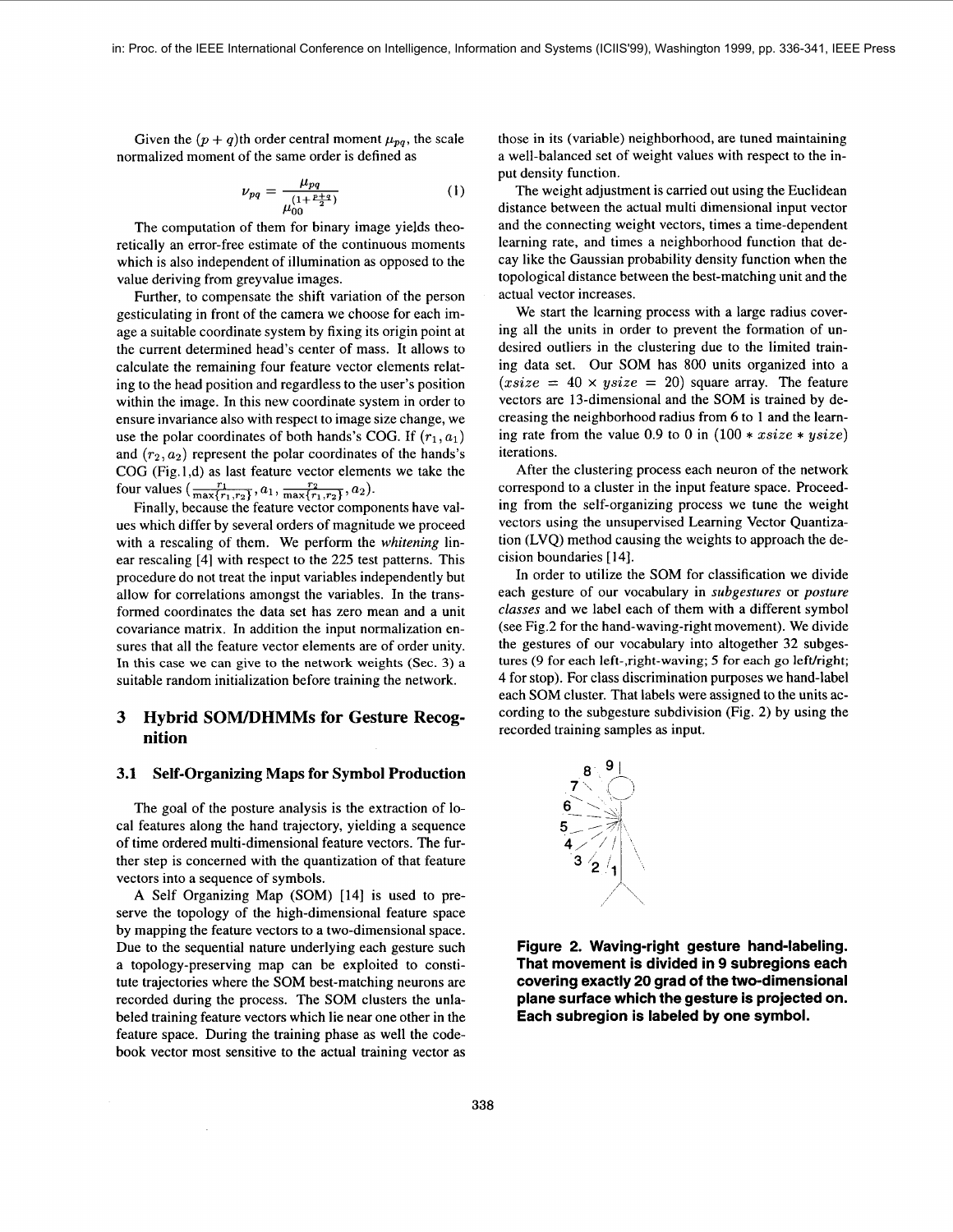Given the  $(p+q)$ th order central moment  $\mu_{pq}$ , the scale normalized moment of the same order is defined as

$$
\nu_{pq} = \frac{\mu_{pq}}{\mu_{00}^{(1 + \frac{p+q}{2})}} \tag{1}
$$

The computation of them for binary image yields theoretically an error-free estimate of the continuous moments which is also independent of illumination as opposed to the value deriving from greyvalue images.

Further, to compensate the shift variation of the person gesticulating in front of the camera we choose for each image a suitable coordinate system by fixing its origin point at the current determined head's center of mass. It allows to calculate the remaining four feature vector elements relating to the head position and regardless to the user's position within the image. In this new coordinate system in order to ensure invariance also with respect to image size change, we use the polar coordinates of both hands's COG. If  $(r_1, a_1)$ and  $(r_2, a_2)$  represent the polar coordinates of the hands's COG (Fig.l,d) as last feature vector elements we take the four values  $\left(\frac{1}{\max\{r_1,r_2\}},a_1,\frac{1}{\max\{r_1,r_2\}}\right)$ 

Finally, because the feature vector components have values which differ by several orders of magnitude we proceed with a rescaling of them. We perform the *whitening* linear rescaling [4] with respect to the 225 test patterns. This procedure do not treat the input variables independently but allow for correlations amongst the variables. In the transformed coordinates the data set has zero mean and a unit covariance matrix. In addition the input normalization ensures that all the feature vector elements are of order unity. In this case we can give to the network weights (Sec. **3)** a suitable random initialization before training the network.

## **3 Hybrid SOM/DHMMs for Gesture Recognition**

#### **3.1 Self-organizing Maps for Symbol Production**

The goal of the posture analysis is the extraction of local features along the hand trajectory, yielding a sequence of time ordered multi-dimensional feature vectors. The further step is concerned with the quantization of that feature vectors into a sequence of symbols.

**A** Self Organizing Map (SOM) [I41 is used to preserve the topology of the high-dimensional feature space by mapping the feature vectors to a two-dimensional space. Due to the sequential nature underlying each gesture such a topology-preserving map can be exploited to constitute trajectories where the SOM best-matching neurons are recorded during the process. The SOM clusters the unlabeled training feature vectors which lie near one other in the feature space. During the training phase as well the codebook vector most sensitive to the actual training vector as

those in its (variable) neighborhood, are tuned maintaining a well-balanced set of weight values with respect to the input density function.

The weight adjustment is carried out using the Euclidean distance between the actual multi dimensional input vector and the connecting weight vectors, times a time-dependent learning rate, and times a neighborhood function that decay like the Gaussian probability density function when the topological distance between the best-matching unit and the actual vector increases.

We start the learning process with a large radius covering all the units in order to prevent the formation of undesired outliers in the clustering due to the limited training data set. Our SOM has 800 units organized into a  $(xsize = 40 \times ysize = 20)$  square array. The feature vectors are 13-dimensional and the SOM is trained by decreasing the neighborhood radius from **6** to l and the learning rate from the value 0.9 to 0 in  $(100 * xsize * ysize)$ iterations.

After the clustering process each neuron of the network correspond to a cluster in the input feature space. Proceeding from the self-organizing process we tune the weight vectors using the unsupervised Learning Vector Quantization (LVQ) method causing the weights to approach the decision boundaries [ 141.

In order to utilize the SOM for classification we divide each gesture of our vocabulary in *subgestures* or *posture classes* and we label each of them with a different symbol (see Fig.2 for the hand-waving-right movement). We divide the gestures of our vocabulary into altogether 32 subgestures (9 for each left-,right-waving; 5 for each go left/right; 4 for stop). For class discrimination purposes we hand-label each SOM cluster. That labels were assigned to the units according to the subgesture subdivision (Fig. **2)** by using the recorded training samples as input.



**Figure 2. Waving-right gesture hand-labeling. That movement is divided in 9 subregions each covering exactly 20 grad of the two-dimensional plane surface which the gesture is projected on. Each subregion is labeled by one symbol.**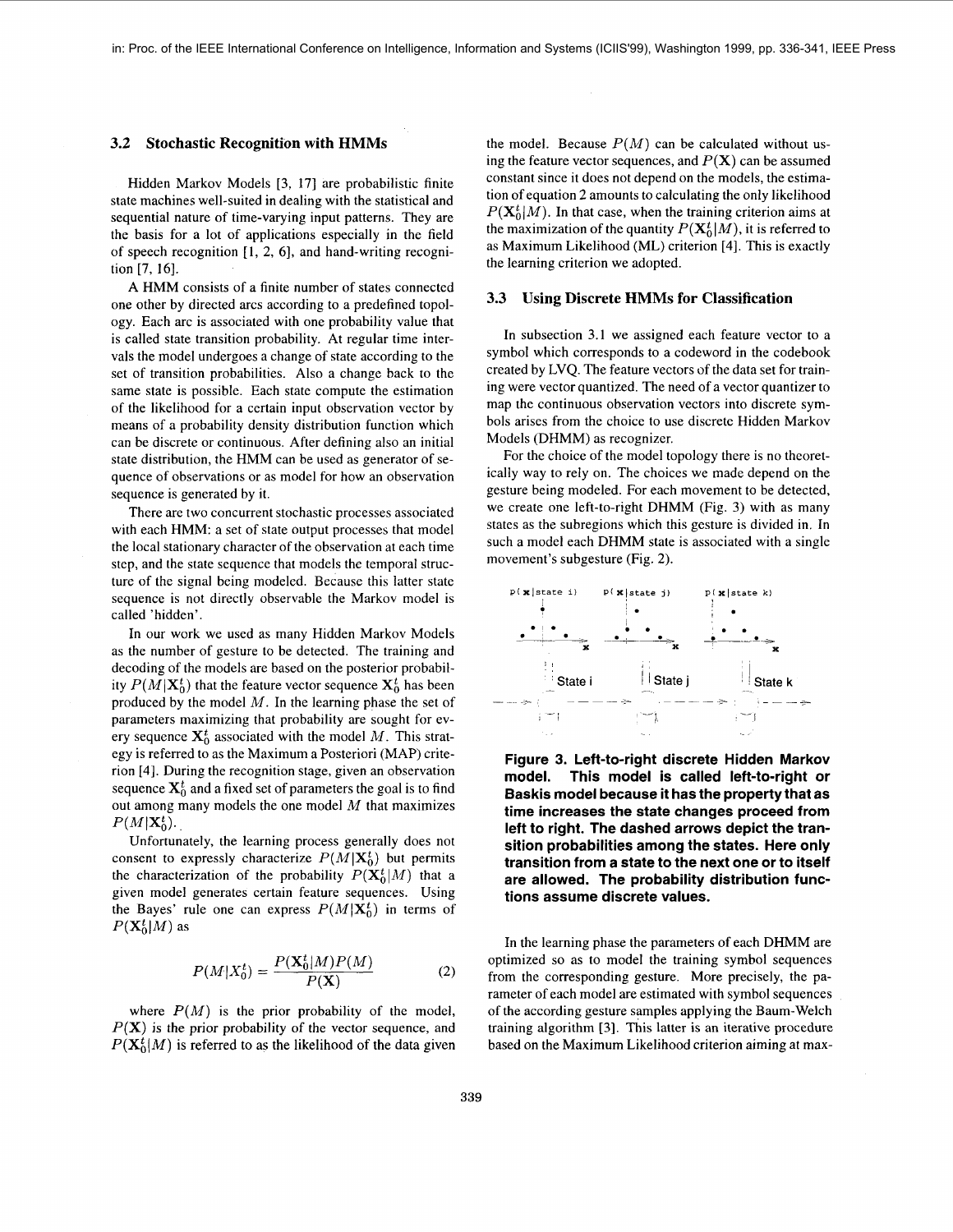#### **3.2 Stochastic Recognition with HMMs**

Hidden Markov Models [3, 171 are probabilistic finite state machines well-suited in dealing with the statistical and sequential nature of time-varying input patterns. They are the basis for a lot of applications especially in the field of speech recognition [1, 2, 6], and hand-writing recognition [7, 16].

A HMM consists of a finite number of states connected one other by directed arcs according to a predefined topology. Each arc is associated with one probability value that is called state transition probability. At regular time intervals the model undergoes a change of state according to the set of transition probabilities. Also a change back *to* the same state is possible. Each state compute the estimation of the likelihood for a certain input observation vector by means of a probability density distribution function which can be discrete or continuous. After defining also an initial state distribution, the HMM can be used as generator of sequence of observations or as model for how an observation sequence is generated by it.

There are two concurrent stochastic processes associated with each HMM: a set of state output processes that model the local stationary character of the observation at each time step, and the state sequence that models the temporal structure of the signal being modeled. Because this latter state sequence is not directly observable the Markov model is called 'hidden'.

In our work we used **as** many Hidden Markov Models as the number of gesture to be detected. The training and decoding of the models are based on the posterior probability  $P(M|\mathbf{X}_0^t)$  that the feature vector sequence  $\mathbf{X}_0^t$  has been produced by the model *M.* In the learning phase the set of parameters maximizing that probability are sought for every sequence  $X_0^t$  associated with the model M. This strategy is referred to as the Maximum a Posteriori (MAP) criterion [4]. During the recognition stage, given an observation sequence  $X_0^t$  and a fixed set of parameters the goal is to find out among many models the one model *M* that maximizes  $P(M|\mathbf{X}_0^t)$ .

Unfortunately, the learning process generally does not consent to expressly characterize  $P(M|\mathbf{X}_{0}^{t})$  but permits the characterization of the probability  $P(X_0^t|M)$  that a given model generates certain feature sequences. Using the Bayes' rule one can express  $P(M|\mathbf{X}_{0}^{t})$  in terms of  $P(\mathbf{X}_0^t|M)$  as

$$
P(M|X_0^t) = \frac{P(\mathbf{X}_0^t|M)P(M)}{P(\mathbf{X})}
$$
 (2)

where  $P(M)$  is the prior probability of the model,  $P(X)$  is the prior probability of the vector sequence, and  $P(\mathbf{X}_0^t|M)$  is referred to as the likelihood of the data given the model. Because  $P(M)$  can be calculated without using the feature vector sequences, and  $P(X)$  can be assumed constant since it does not depend on the models, the estimation of equation 2 amounts to calculating the only likelihood  $P(\mathbf{X}_{0}^{t}|M)$ . In that case, when the training criterion aims at the maximization of the quantity  $P(\mathbf{X}_0^t|M)$ , it is referred to as Maximum Likelihood (ML) criterion [4]. This is exactly the learning criterion we adopted.

#### **3.3 Using Discrete HMMs for Classification**

In subsection 3.1 we assigned each feature vector to a symbol which corresponds to a codeword in the codebook created by LVQ. The feature vectors of the data set for training were vector quantized. The need of a vector quantizer to map the continuous observation vectors into discrete symbols arises from the choice to use discrete Hidden Markov Models (DHMM) as recognizer.

For the choice of the model topology there is no theoretically way to rely on. The choices we made depend on the gesture being modeled. For each movement to be detected, we create one left-to-right DHMM (Fig. 3) with as many states as the subregions which this gesture is divided in. In such **a** model each DHMM state is associated with a single movement's subgesture (Fig. 2).



**Figure 3. Left-to-right discrete Hidden Markov model. This model is called left-to-right or Baskis model because it has the property that as time increases the state changes proceed from left to right. The dashed arrows depict the transition probabilities among the states. Here only transition from a state to the next one or to itself are allowed. The probability distribution functions assume discrete values.** 

In the learning phase the parameters of each DHMM are optimized so as to model the training symbol sequences from the corresponding gesture. More precisely, the parameter of each model are estimated with symbol sequences of the according gesture samples applying the Baum-Welch training algorithm [3]. This latter is an iterative procedure based on the Maximum Likelihood criterion aiming at max-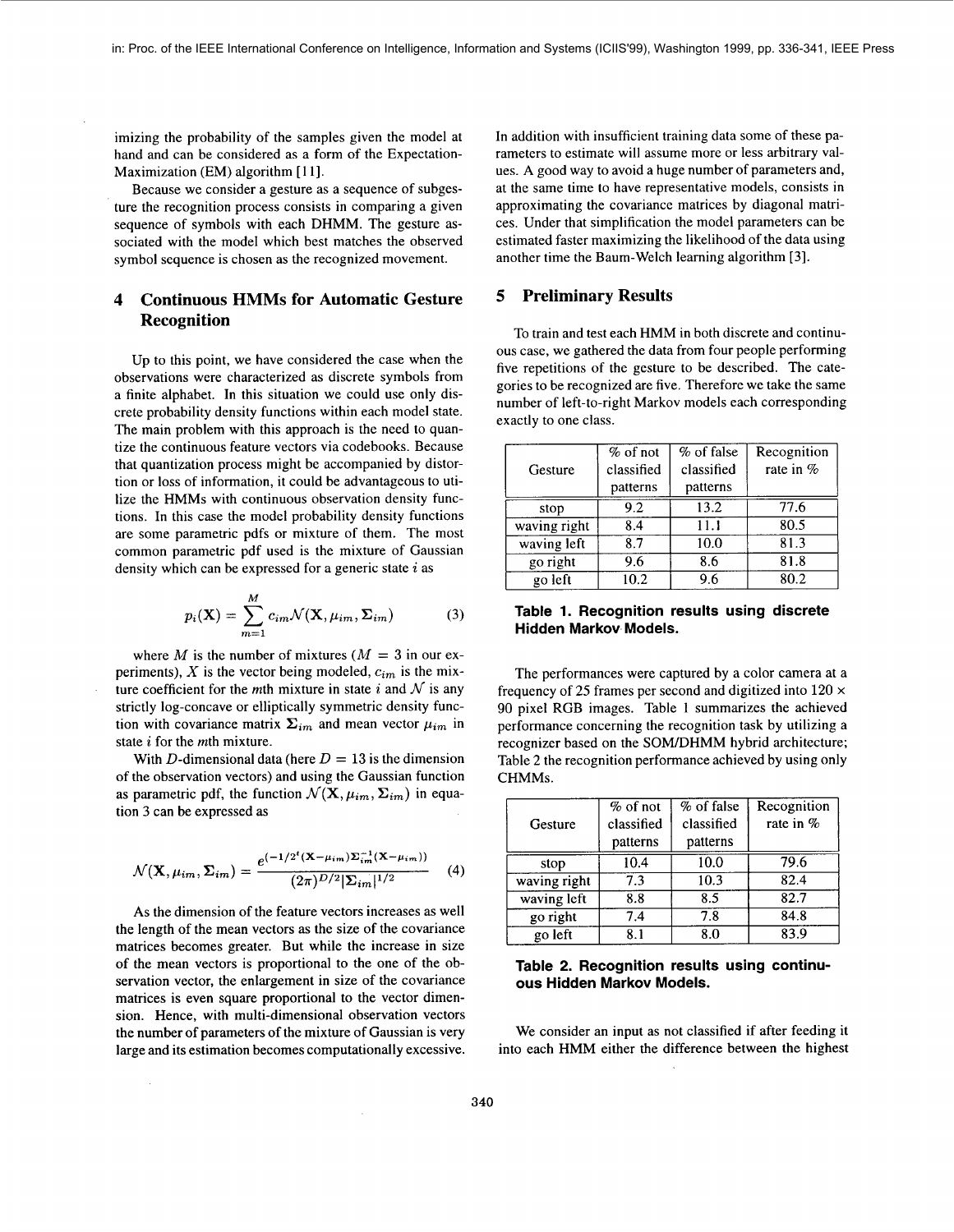imizing the probability of the samples given the model at hand and can be considered as a form of the Expectation-Maximization (EM) algorithm [11].

Because we consider a gesture as a sequence of subgesture the recognition process consists in comparing a given sequence of symbols with each DHMM. The gesture associated with the model which best matches the observed symbol sequence is chosen as the recognized movement.

## **4 Continuous HMMs for Automatic Gesture Recognition**

Up to this point, we have considered the case when the observations were characterized as discrete symbols from a finite alphabet. In this situation we could use only discrete probability density functions within each model state. The main problem with this approach is the need to quantize the continuous feature vectors via codebooks. Because that quantization process might be accompanied by distortion or loss of information, it could be advantageous to utilize the HMMs with continuous observation density functions. In this case the model probability density functions are some parametric pdfs or mixture of them. The most common parametric pdf used is the mixture of Gaussian density which can be expressed for a generic state *i* as

$$
p_i(\mathbf{X}) = \sum_{m=1}^{M} c_{im} \mathcal{N}(\mathbf{X}, \mu_{im}, \Sigma_{im})
$$
 (3)

where *M* is the number of mixtures  $(M = 3$  in our experiments), X is the vector being modeled,  $c_{im}$  is the mixture coefficient for the *m*th mixture in state *i* and  $N$  is any strictly log-concave or elliptically symmetric density function with covariance matrix  $\Sigma_{im}$  and mean vector  $\mu_{im}$  in state *i* for the mth mixture.

With D-dimensional data (here  $D = 13$  is the dimension of the observation vectors) and using the Gaussian function as parametric pdf, the function  $\mathcal{N}(\mathbf{X}, \mu_{im}, \Sigma_{im})$  in equation 3 can be expressed as

$$
\mathcal{N}(\mathbf{X}, \mu_{im}, \Sigma_{im}) = \frac{e^{(-1/2^t(\mathbf{X} - \mu_{im})\Sigma_{im}^{-1}(\mathbf{X} - \mu_{im}))}}{(2\pi)^{D/2}|\Sigma_{im}|^{1/2}} \quad (4)
$$

**As** the dimension of the feature vectors increases as well the length of the mean vectors as the size of the covariance matrices becomes greater. But while the increase in size of the mean vectors is proportional to the one of the observation vector, the enlargement in size of the covariance matrices is even square proportional to the vector dimension. Hence, with multi-dimensional observation vectors the number of parameters of the mixture of Gaussian is very large and its estimation becomes computationally excessive. In addition with insufficient training data some of these parameters to estimate will assume more **or** less arbitrary values. **A** good way to avoid a huge number of parameters and, at the same time to have representative models, consists in approximating the covariance matrices by diagonal matrices. Under that simplification the model parameters can be estimated faster maximizing the likelihood of the data using another time the Baum-Welch learning algorithm [3].

## **5 Preliminary Results**

To train and test each HMM in both discrete and continuous case, we gathered the data from four people performing five repetitions of the gesture to be described. The categories to be recognized are five. Therefore we take the same number of left-to-right Markov models each corresponding exactly to one class.

| Gesture      | $%$ of not<br>classified | % of false<br>classified | Recognition<br>rate in % |
|--------------|--------------------------|--------------------------|--------------------------|
|              | patterns                 | patterns                 |                          |
| stop         | 9.2                      | 13.2                     | 77.6                     |
| waving right | 8.4                      | 11.1                     | 80.5                     |
| waving left  | 8.7                      | 10.0                     | 81.3                     |
| go right     | 9.6                      | 8.6                      | 81.8                     |
| go left      | 10.2                     | 9.6                      | 80.2                     |

#### **Table 1. Recognition results using discrete Hidden Markov Models.**

The performances were captured by a color camera at a frequency of 25 frames per second and digitized into  $120 \times$ 90 pixel RGB images. Table 1 summarizes the achieved performance concerning the recognition task by utilizing a recognizer based on the SOM/DHMM hybrid architecture; Table 2 the recognition performance achieved by using only CHMMs.

|              | $%$ of not | % of false | Recognition |
|--------------|------------|------------|-------------|
| Gesture      | classified | classified | rate in $%$ |
|              | patterns   | patterns   |             |
| stop         | 10.4       | 10.0       | 79.6        |
| waving right | 7.3        | 10.3       | 82.4        |
| waving left  | 8.8        | 8.5        | 82.7        |
| go right     | 7.4        | 7.8        | 84.8        |
| go left      | 8.1        | 8.0        | 83.9        |

### **Table 2. Recognition results using continuous Hidden Markov Models.**

We consider an input as not classified if after feeding it into each HMM either the difference between the highest